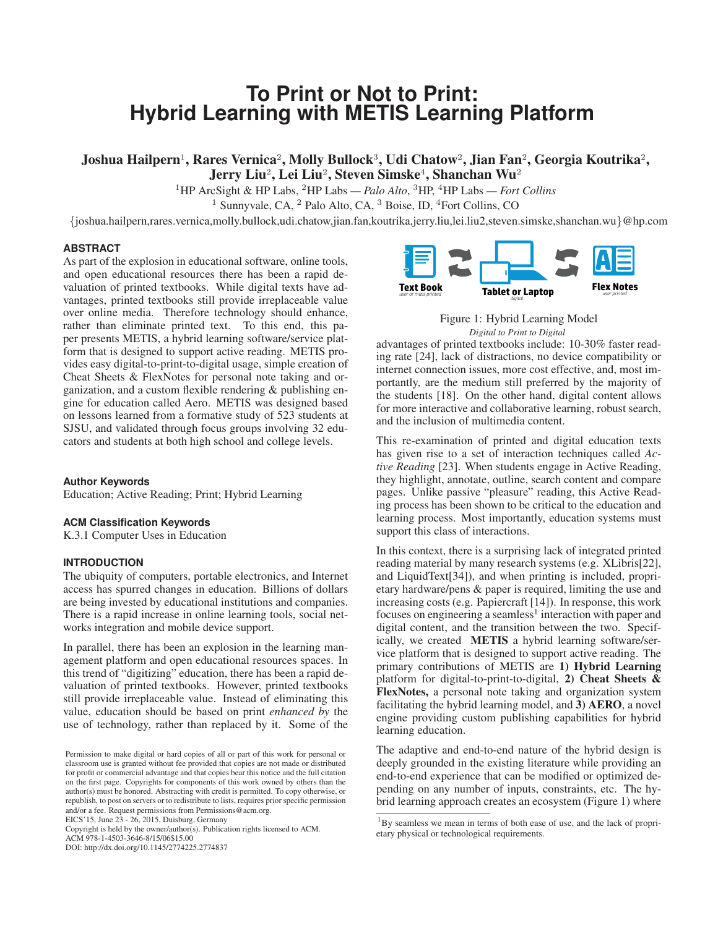# **To Print or Not to Print: Hybrid Learning with METIS Learning Platform**

Joshua Hailpern<sup>1</sup>, Rares Vernica<sup>2</sup>, Molly Bullock<sup>3</sup>, Udi Chatow<sup>2</sup>, Jian Fan<sup>2</sup>, Georgia Koutrika<sup>2</sup>, Jerry Liu<sup>2</sup>, Lei Liu<sup>2</sup>, Steven Simske<sup>4</sup>, Shanchan Wu<sup>2</sup>

<sup>1</sup>HP ArcSight & HP Labs, <sup>2</sup>HP Labs *— Palo Alto*, <sup>3</sup>HP, <sup>4</sup>HP Labs *— Fort Collins*

<sup>1</sup> Sunnyvale, CA, <sup>2</sup> Palo Alto, CA, <sup>3</sup> Boise, ID, <sup>4</sup>Fort Collins, CO

{joshua.hailpern,rares.vernica,molly.bullock,udi.chatow,jian.fan,koutrika,jerry.liu,lei.liu2,steven.simske,shanchan.wu}@hp.com

# **ABSTRACT**

As part of the explosion in educational software, online tools, and open educational resources there has been a rapid devaluation of printed textbooks. While digital texts have advantages, printed textbooks still provide irreplaceable value over online media. Therefore technology should enhance, rather than eliminate printed text. To this end, this paper presents METIS, a hybrid learning software/service platform that is designed to support active reading. METIS provides easy digital-to-print-to-digital usage, simple creation of Cheat Sheets & FlexNotes for personal note taking and organization, and a custom flexible rendering & publishing engine for education called Aero. METIS was designed based on lessons learned from a formative study of 523 students at SJSU, and validated through focus groups involving 32 educators and students at both high school and college levels.

## **Author Keywords**

Education; Active Reading; Print; Hybrid Learning

# **ACM Classification Keywords**

K.3.1 Computer Uses in Education

# **INTRODUCTION**

The ubiquity of computers, portable electronics, and Internet access has spurred changes in education. Billions of dollars are being invested by educational institutions and companies. There is a rapid increase in online learning tools, social networks integration and mobile device support.

In parallel, there has been an explosion in the learning management platform and open educational resources spaces. In this trend of "digitizing" education, there has been a rapid devaluation of printed textbooks. However, printed textbooks still provide irreplaceable value. Instead of eliminating this value, education should be based on print *enhanced by* the use of technology, rather than replaced by it. Some of the

Copyright is held by the owner/author(s). Publication rights licensed to ACM.

ACM 978-1-4503-3646-8/15/06\$15.00 DOI: http://dx.doi.org/10.1145/2774225.2774837



Figure 1: Hybrid Learning Model *Digital to Print to Digital*

advantages of printed textbooks include: 10-30% faster reading rate [24], lack of distractions, no device compatibility or internet connection issues, more cost effective, and, most importantly, are the medium still preferred by the majority of the students [18]. On the other hand, digital content allows for more interactive and collaborative learning, robust search, and the inclusion of multimedia content.

This re-examination of printed and digital education texts has given rise to a set of interaction techniques called *Active Reading* [23]. When students engage in Active Reading, they highlight, annotate, outline, search content and compare pages. Unlike passive "pleasure" reading, this Active Reading process has been shown to be critical to the education and learning process. Most importantly, education systems must support this class of interactions.

In this context, there is a surprising lack of integrated printed reading material by many research systems (e.g. XLibris[22], and LiquidText[34]), and when printing is included, proprietary hardware/pens & paper is required, limiting the use and increasing costs (e.g. Papiercraft [14]). In response, this work focuses on engineering a seamless<sup>1</sup> interaction with paper and digital content, and the transition between the two. Specifically, we created METIS a hybrid learning software/service platform that is designed to support active reading. The primary contributions of METIS are 1) Hybrid Learning platform for digital-to-print-to-digital, 2) Cheat Sheets & FlexNotes, a personal note taking and organization system facilitating the hybrid learning model, and 3) AERO, a novel engine providing custom publishing capabilities for hybrid learning education.

The adaptive and end-to-end nature of the hybrid design is deeply grounded in the existing literature while providing an end-to-end experience that can be modified or optimized depending on any number of inputs, constraints, etc. The hybrid learning approach creates an ecosystem (Figure 1) where

Permission to make digital or hard copies of all or part of this work for personal or classroom use is granted without fee provided that copies are not made or distributed for profit or commercial advantage and that copies bear this notice and the full citation on the first page. Copyrights for components of this work owned by others than the author(s) must be honored. Abstracting with credit is permitted. To copy otherwise, or republish, to post on servers or to redistribute to lists, requires prior specific permission and/or a fee. Request permissions from Permissions@acm.org.

EICS'15, June 23 - 26, 2015, Duisburg, Germany

<sup>&</sup>lt;sup>1</sup>By seamless we mean in terms of both ease of use, and the lack of proprietary physical or technological requirements.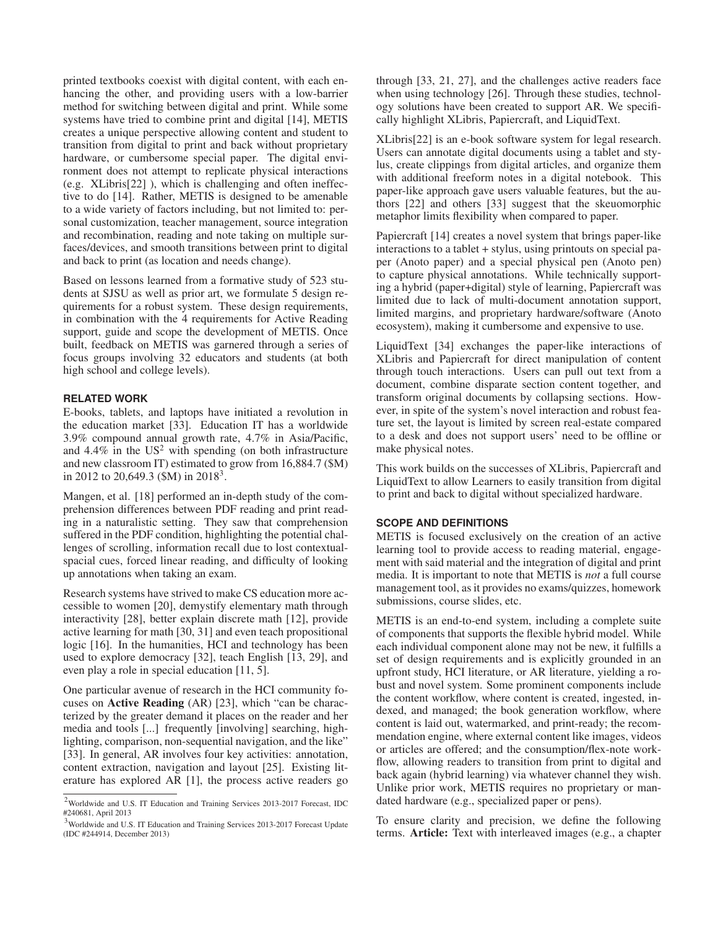printed textbooks coexist with digital content, with each enhancing the other, and providing users with a low-barrier method for switching between digital and print. While some systems have tried to combine print and digital [14], METIS creates a unique perspective allowing content and student to transition from digital to print and back without proprietary hardware, or cumbersome special paper. The digital environment does not attempt to replicate physical interactions (e.g. XLibris[22] ), which is challenging and often ineffective to do [14]. Rather, METIS is designed to be amenable to a wide variety of factors including, but not limited to: personal customization, teacher management, source integration and recombination, reading and note taking on multiple surfaces/devices, and smooth transitions between print to digital and back to print (as location and needs change).

Based on lessons learned from a formative study of 523 students at SJSU as well as prior art, we formulate 5 design requirements for a robust system. These design requirements, in combination with the 4 requirements for Active Reading support, guide and scope the development of METIS. Once built, feedback on METIS was garnered through a series of focus groups involving 32 educators and students (at both high school and college levels).

# **RELATED WORK**

E-books, tablets, and laptops have initiated a revolution in the education market [33]. Education IT has a worldwide 3.9% compound annual growth rate, 4.7% in Asia/Pacific, and  $4.4\%$  in the US<sup>2</sup> with spending (on both infrastructure and new classroom IT) estimated to grow from 16,884.7 (\$M) in 2012 to 20,649.3 (\$M) in 20183.

Mangen, et al. [18] performed an in-depth study of the comprehension differences between PDF reading and print reading in a naturalistic setting. They saw that comprehension suffered in the PDF condition, highlighting the potential challenges of scrolling, information recall due to lost contextualspacial cues, forced linear reading, and difficulty of looking up annotations when taking an exam.

Research systems have strived to make CS education more accessible to women [20], demystify elementary math through interactivity [28], better explain discrete math [12], provide active learning for math [30, 31] and even teach propositional logic [16]. In the humanities, HCI and technology has been used to explore democracy [32], teach English [13, 29], and even play a role in special education [11, 5].

One particular avenue of research in the HCI community focuses on Active Reading (AR) [23], which "can be characterized by the greater demand it places on the reader and her media and tools [...] frequently [involving] searching, highlighting, comparison, non-sequential navigation, and the like" [33]. In general, AR involves four key activities: annotation, content extraction, navigation and layout [25]. Existing literature has explored AR [1], the process active readers go

through [33, 21, 27], and the challenges active readers face when using technology [26]. Through these studies, technology solutions have been created to support AR. We specifically highlight XLibris, Papiercraft, and LiquidText.

XLibris[22] is an e-book software system for legal research. Users can annotate digital documents using a tablet and stylus, create clippings from digital articles, and organize them with additional freeform notes in a digital notebook. This paper-like approach gave users valuable features, but the authors [22] and others [33] suggest that the skeuomorphic metaphor limits flexibility when compared to paper.

Papiercraft [14] creates a novel system that brings paper-like interactions to a tablet + stylus, using printouts on special paper (Anoto paper) and a special physical pen (Anoto pen) to capture physical annotations. While technically supporting a hybrid (paper+digital) style of learning, Papiercraft was limited due to lack of multi-document annotation support, limited margins, and proprietary hardware/software (Anoto ecosystem), making it cumbersome and expensive to use.

LiquidText [34] exchanges the paper-like interactions of XLibris and Papiercraft for direct manipulation of content through touch interactions. Users can pull out text from a document, combine disparate section content together, and transform original documents by collapsing sections. However, in spite of the system's novel interaction and robust feature set, the layout is limited by screen real-estate compared to a desk and does not support users' need to be offline or make physical notes.

This work builds on the successes of XLibris, Papiercraft and LiquidText to allow Learners to easily transition from digital to print and back to digital without specialized hardware.

# **SCOPE AND DEFINITIONS**

METIS is focused exclusively on the creation of an active learning tool to provide access to reading material, engagement with said material and the integration of digital and print media. It is important to note that METIS is *not* a full course management tool, as it provides no exams/quizzes, homework submissions, course slides, etc.

METIS is an end-to-end system, including a complete suite of components that supports the flexible hybrid model. While each individual component alone may not be new, it fulfills a set of design requirements and is explicitly grounded in an upfront study, HCI literature, or AR literature, yielding a robust and novel system. Some prominent components include the content workflow, where content is created, ingested, indexed, and managed; the book generation workflow, where content is laid out, watermarked, and print-ready; the recommendation engine, where external content like images, videos or articles are offered; and the consumption/flex-note workflow, allowing readers to transition from print to digital and back again (hybrid learning) via whatever channel they wish. Unlike prior work, METIS requires no proprietary or mandated hardware (e.g., specialized paper or pens).

To ensure clarity and precision, we define the following terms. Article: Text with interleaved images (e.g., a chapter

<sup>&</sup>lt;sup>2</sup> Worldwide and U.S. IT Education and Training Services 2013-2017 Forecast, IDC #240681, April 2013

<sup>&</sup>lt;sup>3</sup> Worldwide and U.S. IT Education and Training Services 2013-2017 Forecast Update (IDC #244914, December 2013)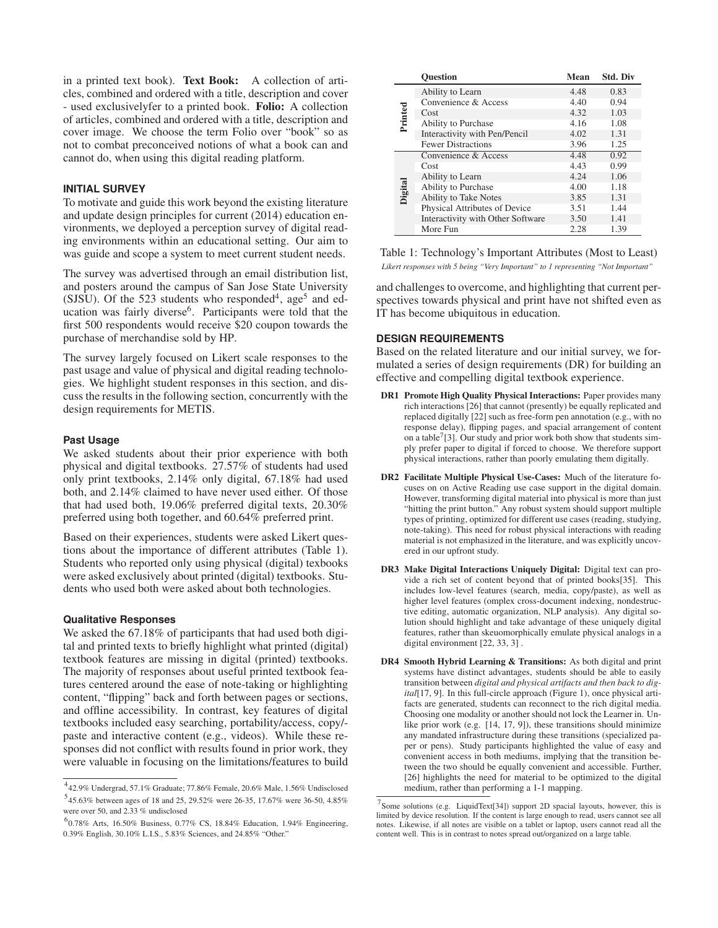in a printed text book). Text Book: A collection of articles, combined and ordered with a title, description and cover - used exclusivelyfer to a printed book. Folio: A collection of articles, combined and ordered with a title, description and cover image. We choose the term Folio over "book" so as not to combat preconceived notions of what a book can and cannot do, when using this digital reading platform.

## **INITIAL SURVEY**

To motivate and guide this work beyond the existing literature and update design principles for current (2014) education environments, we deployed a perception survey of digital reading environments within an educational setting. Our aim to was guide and scope a system to meet current student needs.

The survey was advertised through an email distribution list, and posters around the campus of San Jose State University (SJSU). Of the 523 students who responded<sup>4</sup>, age<sup>5</sup> and education was fairly diverse<sup>6</sup>. Participants were told that the first 500 respondents would receive \$20 coupon towards the purchase of merchandise sold by HP.

The survey largely focused on Likert scale responses to the past usage and value of physical and digital reading technologies. We highlight student responses in this section, and discuss the results in the following section, concurrently with the design requirements for METIS.

# **Past Usage**

We asked students about their prior experience with both physical and digital textbooks. 27.57% of students had used only print textbooks, 2.14% only digital, 67.18% had used both, and 2.14% claimed to have never used either. Of those that had used both, 19.06% preferred digital texts, 20.30% preferred using both together, and 60.64% preferred print.

Based on their experiences, students were asked Likert questions about the importance of different attributes (Table 1). Students who reported only using physical (digital) texbooks were asked exclusively about printed (digital) textbooks. Students who used both were asked about both technologies.

#### **Qualitative Responses**

We asked the 67.18% of participants that had used both digital and printed texts to briefly highlight what printed (digital) textbook features are missing in digital (printed) textbooks. The majority of responses about useful printed textbook features centered around the ease of note-taking or highlighting content, "flipping" back and forth between pages or sections, and offline accessibility. In contrast, key features of digital textbooks included easy searching, portability/access, copy/ paste and interactive content (e.g., videos). While these responses did not conflict with results found in prior work, they were valuable in focusing on the limitations/features to build

|         | <b>Ouestion</b>                   | Mean | Std. Div |
|---------|-----------------------------------|------|----------|
|         | Ability to Learn                  | 4.48 | 0.83     |
|         | Convenience & Access              | 4.40 | 0.94     |
|         | Cost                              | 4.32 | 1.03     |
| Printed | Ability to Purchase               | 4.16 | 1.08     |
|         | Interactivity with Pen/Pencil     | 4.02 | 1.31     |
|         | <b>Fewer Distractions</b>         | 3.96 | 1.25     |
| Digital | Convenience & Access              | 4.48 | 0.92     |
|         | Cost                              | 4.43 | 0.99     |
|         | Ability to Learn                  | 4.24 | 1.06     |
|         | Ability to Purchase               | 4.00 | 1.18     |
|         | Ability to Take Notes             | 3.85 | 1.31     |
|         | Physical Attributes of Device     | 3.51 | 1.44     |
|         | Interactivity with Other Software | 3.50 | 1.41     |
|         | More Fun                          | 2.28 | 1.39     |

Table 1: Technology's Important Attributes (Most to Least) *Likert responses with 5 being "Very Important" to 1 representing "Not Important"*

and challenges to overcome, and highlighting that current perspectives towards physical and print have not shifted even as IT has become ubiquitous in education.

# **DESIGN REQUIREMENTS**

Based on the related literature and our initial survey, we formulated a series of design requirements (DR) for building an effective and compelling digital textbook experience.

- DR1 Promote High Quality Physical Interactions: Paper provides many rich interactions [26] that cannot (presently) be equally replicated and replaced digitally [22] such as free-form pen annotation (e.g., with no response delay), flipping pages, and spacial arrangement of content on a table<sup>7</sup>[3]. Our study and prior work both show that students simply prefer paper to digital if forced to choose. We therefore support physical interactions, rather than poorly emulating them digitally.
- DR2 Facilitate Multiple Physical Use-Cases: Much of the literature focuses on on Active Reading use case support in the digital domain. However, transforming digital material into physical is more than just "hitting the print button." Any robust system should support multiple types of printing, optimized for different use cases (reading, studying, note-taking). This need for robust physical interactions with reading material is not emphasized in the literature, and was explicitly uncovered in our upfront study.
- DR3 Make Digital Interactions Uniquely Digital: Digital text can provide a rich set of content beyond that of printed books[35]. This includes low-level features (search, media, copy/paste), as well as higher level features (omplex cross-document indexing, nondestructive editing, automatic organization, NLP analysis). Any digital solution should highlight and take advantage of these uniquely digital features, rather than skeuomorphically emulate physical analogs in a digital environment [22, 33, 3] .
- DR4 Smooth Hybrid Learning & Transitions: As both digital and print systems have distinct advantages, students should be able to easily transition between *digital and physical artifacts and then back to digital*[17, 9]. In this full-circle approach (Figure 1), once physical artifacts are generated, students can reconnect to the rich digital media. Choosing one modality or another should not lock the Learner in. Unlike prior work (e.g. [14, 17, 9]), these transitions should minimize any mandated infrastructure during these transitions (specialized paper or pens). Study participants highlighted the value of easy and convenient access in both mediums, implying that the transition between the two should be equally convenient and accessible. Further, [26] highlights the need for material to be optimized to the digital medium, rather than performing a 1-1 mapping.

<sup>4</sup> 42.9% Undergrad, 57.1% Graduate; 77.86% Female, 20.6% Male, 1.56% Undisclosed 5 45.63% between ages of 18 and 25, 29.52% were 26-35, 17.67% were 36-50, 4.85% were over 50, and 2.33 % undisclosed

<sup>6</sup> 0.78% Arts, 16.50% Business, 0.77% CS, 18.84% Education, 1.94% Engineering, 0.39% English, 30.10% L.I.S., 5.83% Sciences, and 24.85% "Other."

 $7$ Some solutions (e.g. LiquidText[34]) support 2D spacial layouts, however, this is limited by device resolution. If the content is large enough to read, users cannot see all notes. Likewise, if all notes are visible on a tablet or laptop, users cannot read all the content well. This is in contrast to notes spread out/organized on a large table.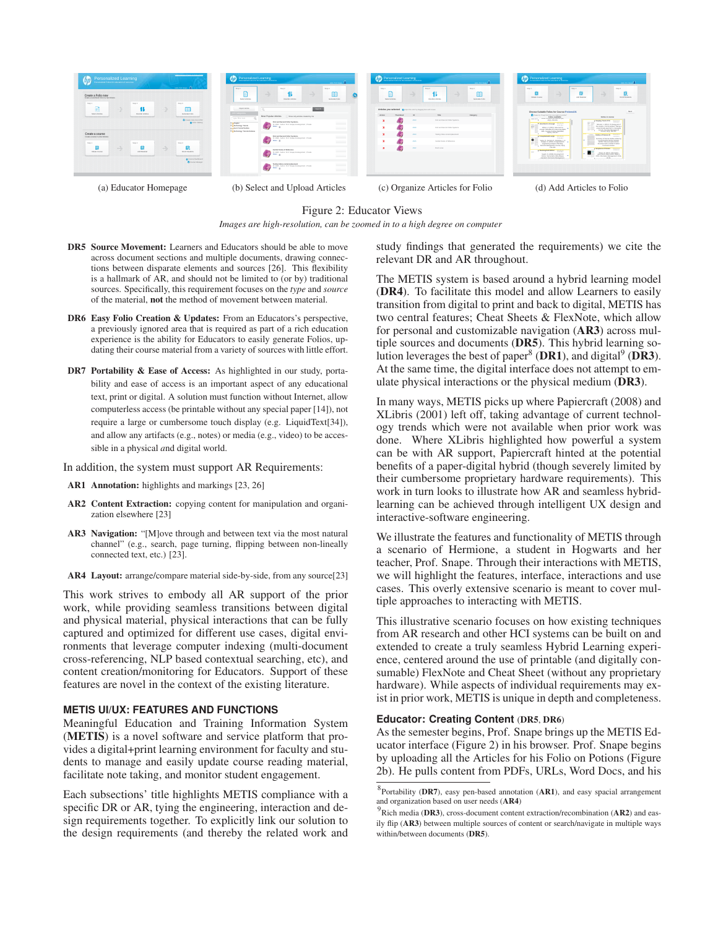| Ingal Education Plastics on Find solid 24<br>Personalized Learning<br>Personatoed Fotos for education of tomorrow<br><b>Security Sections</b><br>Create a Folio now<br>Create a customized Falls in a fine minutes.<br>$2m+1$<br>$2n+2$<br>2m2 | Personalized Learning<br>Personalized Police for the education of tomorrow<br><b>COMMERCIAL CONTRACTOR</b><br>Dec 1<br>Estern Arbeiten   | <b>Parts Port Source 7</b><br>$2n+2$<br>2m2<br><b>Target Street</b><br>-<br>Rearder Artisten<br>Constab Fals                                                                                                                                                                                              | Days 1<br><b>Zalent Adales</b>                                                                                                                                                                                                                                                                                                                                                                                                                                                                                                                                                                   | Personalized Learning<br><b>Insurations False for the estuador of tomorrow</b> | $\qquad \qquad \rightarrow$         | ___<br>Time 2<br><b>Service</b><br><br><b>Receipt Ariston</b>                 | <b>Contract Contract Contract</b><br>$2m+1$<br>Console Febr | Personalized Learning<br>Personalized Policy for the education of tomorrow<br><b>Contract Contract Contract</b><br>______<br>Dieg 2<br>Dec 1<br>$2n+2$<br>п.<br>$\rightarrow$<br>$\sim$<br>Anthony<br>Indian Course<br>Evel Budets                                                                                                                                                                                                       |
|------------------------------------------------------------------------------------------------------------------------------------------------------------------------------------------------------------------------------------------------|------------------------------------------------------------------------------------------------------------------------------------------|-----------------------------------------------------------------------------------------------------------------------------------------------------------------------------------------------------------------------------------------------------------------------------------------------------------|--------------------------------------------------------------------------------------------------------------------------------------------------------------------------------------------------------------------------------------------------------------------------------------------------------------------------------------------------------------------------------------------------------------------------------------------------------------------------------------------------------------------------------------------------------------------------------------------------|--------------------------------------------------------------------------------|-------------------------------------|-------------------------------------------------------------------------------|-------------------------------------------------------------|------------------------------------------------------------------------------------------------------------------------------------------------------------------------------------------------------------------------------------------------------------------------------------------------------------------------------------------------------------------------------------------------------------------------------------------|
| <br>. .<br>Connote Falls<br>Zelect Arisies<br>Faureire Ariston<br><b>B</b> Count Falu From FOF<br><b>Britishnik</b>                                                                                                                            | Import Artistic<br><b>Categories</b><br><b>Board Store Small</b><br><b>Tanger</b><br><b>Tallechology Tomak</b><br>Tai Curry Smith Studen | <b>Teach</b><br>Most Popular Articles [ Downstructure material way<br>Find and Second Order Systems.<br><b>STATE OF STREET</b><br>D. 650, Julian Prof. Street University of Private<br>$\rightarrow$<br>Days 30<br><b>Service Control</b>                                                                 | Autom.<br>×<br>18                                                                                                                                                                                                                                                                                                                                                                                                                                                                                                                                                                                | Articles you selected 1 Advertisements degree here with more<br>Thursdough     | <b>Inch</b><br>and 1<br><b>ASAN</b> | Title .<br>First and Except Order European<br>First and Emerid Order European | Crimery                                                     | Choose Suitable Folios for Course: Potions101<br>Next.<br>Peace by Town Fals has an animal and of<br>Pellos in source<br>If you were additionable.<br>412120-215<br>The control<br>Reply Test of Pa. 1999-1<br>Il Haw Mash & Energy - consumer<br>Mid-and, J. (2012). On below early of<br>THE R. P. LEWIS CO., LANSING MICH.<br>the solution, not the contriers. Taking a<br>When A GOLD Har mark is<br>commitment approach to managing |
| Create a course<br>Cruze a course in a final minutes.<br>$2m+1$<br>Day 2<br>Dieg 3<br>в                                                                                                                                                        | The Destroyless Translat Markets                                                                                                         | ж<br><b>AND</b><br>Texton Video content placement<br>First and Second Order Systems.<br><b>STATE</b><br>D. 020, Julian Pod. State University of Private<br><b>Dure to</b><br>- 38<br><b>ANALL</b><br>Institut Practor of Ballersmont<br><b>Service Control</b><br>×<br><b>STATE</b><br><b>Rent Leonar</b> | arough Managea by expansion dotted<br>records, Records Management<br>data Journal of Library Matashira<br>Journal 22(3), 136, 157.<br>to report positive<br>Honora of Fatures & Common<br>Edmontonenance control<br><b>TARRIE</b><br>Total State<br>European of Subara studies when its<br>٠<br>Vieta E. Ferrara D. Britisha J. A.<br>a name Libridated states.<br>. .<br>General G. GOCO, Americansens. -<br>ACCO. This is an exert several<br>producer in a products of Moffan.<br>designers with a limited Country<br>1. Racordo Management Journal, 2019.<br>Commers Instead<br><b>SOZIA</b> |                                                                                |                                     |                                                                               |                                                             |                                                                                                                                                                                                                                                                                                                                                                                                                                          |
| Ant Material<br>Initially Course<br><b>Bread Elusteria</b><br>Course DayMount<br><b>B</b> Course Message                                                                                                                                       |                                                                                                                                          | Institutions of Esterance<br>D. 655, Julian Prof. Drame University of Private<br><b>Carl Date 10</b><br><b>Service Control</b><br>Texting Value content plannings<br><b>STATE</b><br>D. 050, Autor Pol. Draw Unpleased of Private<br>Date in<br><b>STATE</b>                                              |                                                                                                                                                                                                                                                                                                                                                                                                                                                                                                                                                                                                  |                                                                                |                                     |                                                                               |                                                             | <sup>21</sup> Similars of Police - Internet<br><b>STATISTICS</b><br>The manufacturers are a manufacturers<br>The R.C.<br>Brana IV, GO-Di, Internation<br>Seats & Glilli, Seattle Dall<br>management before contact stands in<br>Girl & 2 that the facts PAI services<br>2013, Internation Management, 4740.<br>20.25<br>standard, Information Management.                                                                                |

(a) Educator Homepage

(b) Select and Upload Articles

(c) Organize Articles for Folio



#### Figure 2: Educator Views

*Images are high-resolution, can be zoomed in to a high degree on computer*

- DR5 Source Movement: Learners and Educators should be able to move across document sections and multiple documents, drawing connections between disparate elements and sources [26]. This flexibility is a hallmark of AR, and should not be limited to (or by) traditional sources. Specifically, this requirement focuses on the *type* and *source* of the material, not the method of movement between material.
- DR6 Easy Folio Creation & Updates: From an Educators's perspective, a previously ignored area that is required as part of a rich education experience is the ability for Educators to easily generate Folios, updating their course material from a variety of sources with little effort.
- DR7 Portability & Ease of Access: As highlighted in our study, portability and ease of access is an important aspect of any educational text, print or digital. A solution must function without Internet, allow computerless access (be printable without any special paper [14]), not require a large or cumbersome touch display (e.g. LiquidText[34]), and allow any artifacts (e.g., notes) or media (e.g., video) to be accessible in a physical *a*nd digital world.
- In addition, the system must support AR Requirements:
- AR1 Annotation: highlights and markings [23, 26]
- AR2 Content Extraction: copying content for manipulation and organization elsewhere [23]
- AR3 Navigation: "[M]ove through and between text via the most natural channel" (e.g., search, page turning, flipping between non-lineally connected text, etc.) [23].
- AR4 Layout: arrange/compare material side-by-side, from any source[23]

This work strives to embody all AR support of the prior work, while providing seamless transitions between digital and physical material, physical interactions that can be fully captured and optimized for different use cases, digital environments that leverage computer indexing (multi-document cross-referencing, NLP based contextual searching, etc), and content creation/monitoring for Educators. Support of these features are novel in the context of the existing literature.

## **METIS UI/UX: FEATURES AND FUNCTIONS**

Meaningful Education and Training Information System (METIS) is a novel software and service platform that provides a digital+print learning environment for faculty and students to manage and easily update course reading material, facilitate note taking, and monitor student engagement.

Each subsections' title highlights METIS compliance with a specific DR or AR, tying the engineering, interaction and design requirements together. To explicitly link our solution to the design requirements (and thereby the related work and

study findings that generated the requirements) we cite the relevant DR and AR throughout.

The METIS system is based around a hybrid learning model (DR4). To facilitate this model and allow Learners to easily transition from digital to print and back to digital, METIS has two central features; Cheat Sheets & FlexNote, which allow for personal and customizable navigation (AR3) across multiple sources and documents (DR5). This hybrid learning solution leverages the best of paper<sup>8</sup> (DR1), and digital<sup>9</sup> (DR3). At the same time, the digital interface does not attempt to emulate physical interactions or the physical medium (DR3).

In many ways, METIS picks up where Papiercraft (2008) and XLibris (2001) left off, taking advantage of current technology trends which were not available when prior work was done. Where XLibris highlighted how powerful a system can be with AR support, Papiercraft hinted at the potential benefits of a paper-digital hybrid (though severely limited by their cumbersome proprietary hardware requirements). This work in turn looks to illustrate how AR and seamless hybridlearning can be achieved through intelligent UX design and interactive-software engineering.

We illustrate the features and functionality of METIS through a scenario of Hermione, a student in Hogwarts and her teacher, Prof. Snape. Through their interactions with METIS, we will highlight the features, interface, interactions and use cases. This overly extensive scenario is meant to cover multiple approaches to interacting with METIS.

This illustrative scenario focuses on how existing techniques from AR research and other HCI systems can be built on and extended to create a truly seamless Hybrid Learning experience, centered around the use of printable (and digitally consumable) FlexNote and Cheat Sheet (without any proprietary hardware). While aspects of individual requirements may exist in prior work, METIS is unique in depth and completeness.

## **Educator: Creating Content** (DR5, DR6)

As the semester begins, Prof. Snape brings up the METIS Educator interface (Figure 2) in his browser. Prof. Snape begins by uploading all the Articles for his Folio on Potions (Figure 2b). He pulls content from PDFs, URLs, Word Docs, and his

 $8$ Portability (DR7), easy pen-based annotation (AR1), and easy spacial arrangement and organization based on user needs (AR4)

 $^{9}$ Rich media (DR3), cross-document content extraction/recombination (AR2) and easily flip (AR3) between multiple sources of content or search/navigate in multiple ways within/between documents (DR5).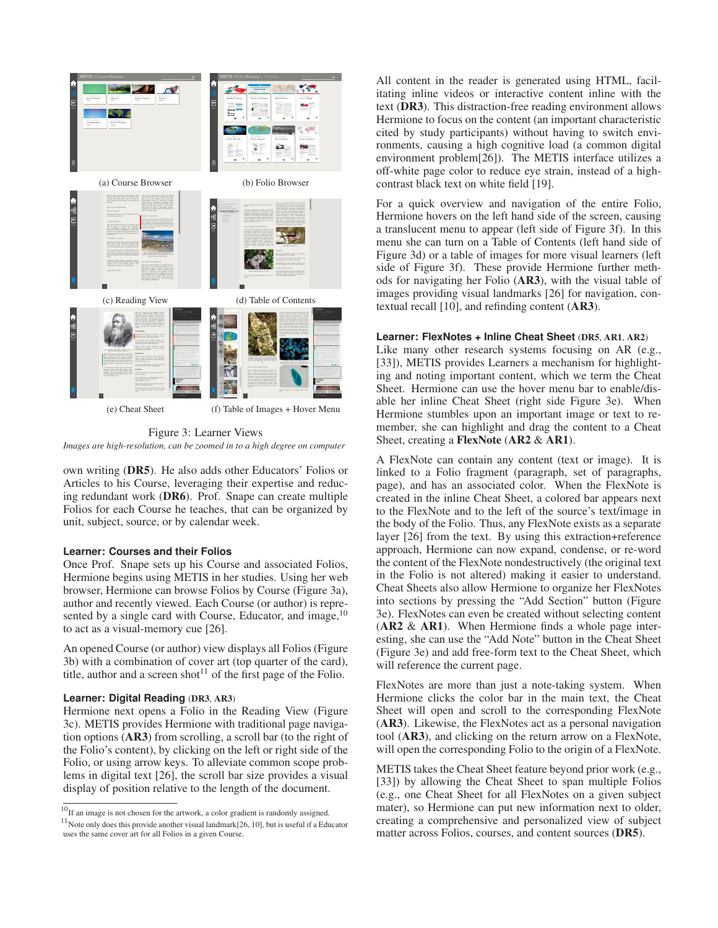



*Images are high-resolution, can be zoomed in to a high degree on computer*

own writing (DR5). He also adds other Educators' Folios or Articles to his Course, leveraging their expertise and reducing redundant work (DR6). Prof. Snape can create multiple Folios for each Course he teaches, that can be organized by unit, subject, source, or by calendar week.

# **Learner: Courses and their Folios**

Once Prof. Snape sets up his Course and associated Folios, Hermione begins using METIS in her studies. Using her web browser, Hermione can browse Folios by Course (Figure 3a), author and recently viewed. Each Course (or author) is represented by a single card with Course, Educator, and image,  $10$ to act as a visual-memory cue [26].

An opened Course (or author) view displays all Folios (Figure 3b) with a combination of cover art (top quarter of the card), title, author and a screen shot $^{11}$  of the first page of the Folio.

# **Learner: Digital Reading** (DR3, AR3)

Hermione next opens a Folio in the Reading View (Figure 3c). METIS provides Hermione with traditional page navigation options (AR3) from scrolling, a scroll bar (to the right of the Folio's content), by clicking on the left or right side of the Folio, or using arrow keys. To alleviate common scope problems in digital text [26], the scroll bar size provides a visual display of position relative to the length of the document.

All content in the reader is generated using HTML, facilitating inline videos or interactive content inline with the text (DR3). This distraction-free reading environment allows Hermione to focus on the content (an important characteristic cited by study participants) without having to switch environments, causing a high cognitive load (a common digital environment problem[26]). The METIS interface utilizes a off-white page color to reduce eye strain, instead of a highcontrast black text on white field [19].

For a quick overview and navigation of the entire Folio, Hermione hovers on the left hand side of the screen, causing a translucent menu to appear (left side of Figure 3f). In this menu she can turn on a Table of Contents (left hand side of Figure 3d) or a table of images for more visual learners (left side of Figure 3f). These provide Hermione further methods for navigating her Folio (AR3), with the visual table of images providing visual landmarks [26] for navigation, contextual recall [10], and refinding content (AR3).

# **Learner: FlexNotes + Inline Cheat Sheet** (DR5, AR1, AR2)

Like many other research systems focusing on AR (e.g., [33]), METIS provides Learners a mechanism for highlighting and noting important content, which we term the Cheat Sheet. Hermione can use the hover menu bar to enable/disable her inline Cheat Sheet (right side Figure 3e). When Hermione stumbles upon an important image or text to remember, she can highlight and drag the content to a Cheat Sheet, creating a FlexNote (AR2 & AR1).

A FlexNote can contain any content (text or image). It is linked to a Folio fragment (paragraph, set of paragraphs, page), and has an associated color. When the FlexNote is created in the inline Cheat Sheet, a colored bar appears next to the FlexNote and to the left of the source's text/image in the body of the Folio. Thus, any FlexNote exists as a separate layer [26] from the text. By using this extraction+reference approach, Hermione can now expand, condense, or re-word the content of the FlexNote nondestructively (the original text in the Folio is not altered) making it easier to understand. Cheat Sheets also allow Hermione to organize her FlexNotes into sections by pressing the "Add Section" button (Figure 3e). FlexNotes can even be created without selecting content  $(AR2 \& AR1)$ . When Hermione finds a whole page interesting, she can use the "Add Note" button in the Cheat Sheet (Figure 3e) and add free-form text to the Cheat Sheet, which will reference the current page.

FlexNotes are more than just a note-taking system. When Hermione clicks the color bar in the main text, the Cheat Sheet will open and scroll to the corresponding FlexNote (AR3). Likewise, the FlexNotes act as a personal navigation tool (AR3), and clicking on the return arrow on a FlexNote, will open the corresponding Folio to the origin of a FlexNote.

METIS takes the Cheat Sheet feature beyond prior work (e.g., [33]) by allowing the Cheat Sheet to span multiple Folios (e.g., one Cheat Sheet for all FlexNotes on a given subject mater), so Hermione can put new information next to older, creating a comprehensive and personalized view of subject matter across Folios, courses, and content sources (DR5).

 $^{10}\mathrm{If}$  an image is not chosen for the artwork, a color gradient is randomly assigned.

<sup>&</sup>lt;sup>11</sup>Note only does this provide another visual landmark[26, 10], but is useful if a Educator uses the same cover art for all Folios in a given Course.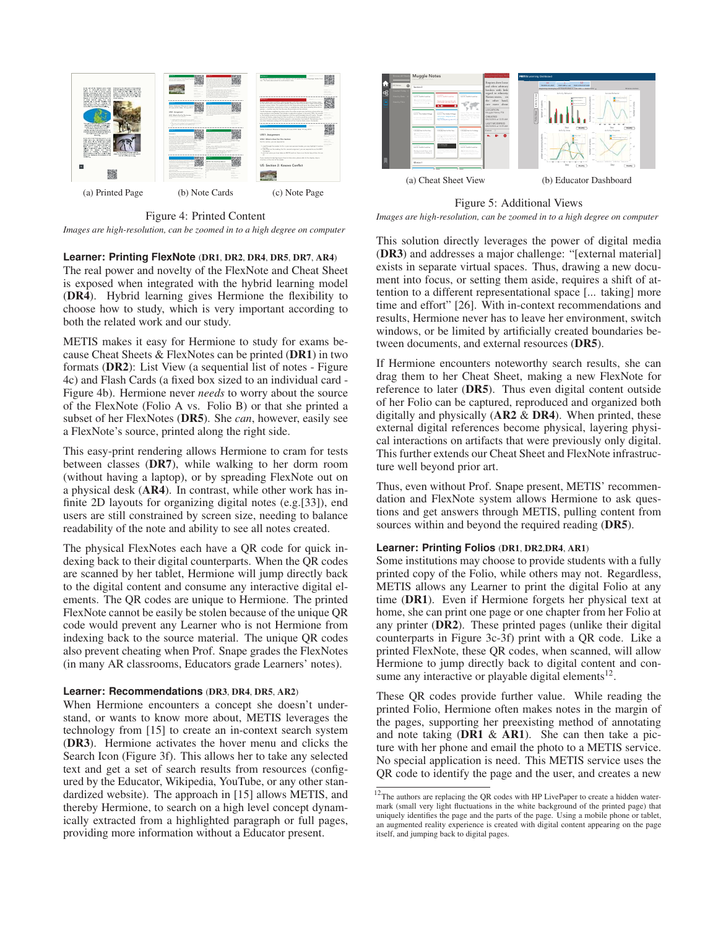

Figure 4: Printed Content

*Images are high-resolution, can be zoomed in to a high degree on computer*

**Learner: Printing FlexNote** (DR1, DR2, DR4, DR5, DR7, AR4) The real power and novelty of the FlexNote and Cheat Sheet is exposed when integrated with the hybrid learning model (DR4). Hybrid learning gives Hermione the flexibility to choose how to study, which is very important according to both the related work and our study.

METIS makes it easy for Hermione to study for exams because Cheat Sheets & FlexNotes can be printed (DR1) in two formats (DR2): List View (a sequential list of notes - Figure 4c) and Flash Cards (a fixed box sized to an individual card - Figure 4b). Hermione never *needs* to worry about the source of the FlexNote (Folio A vs. Folio B) or that she printed a subset of her FlexNotes (DR5). She *can*, however, easily see a FlexNote's source, printed along the right side.

This easy-print rendering allows Hermione to cram for tests between classes (DR7), while walking to her dorm room (without having a laptop), or by spreading FlexNote out on a physical desk (AR4). In contrast, while other work has infinite 2D layouts for organizing digital notes (e.g.[33]), end users are still constrained by screen size, needing to balance readability of the note and ability to see all notes created.

The physical FlexNotes each have a QR code for quick indexing back to their digital counterparts. When the QR codes are scanned by her tablet, Hermione will jump directly back to the digital content and consume any interactive digital elements. The QR codes are unique to Hermione. The printed FlexNote cannot be easily be stolen because of the unique QR code would prevent any Learner who is not Hermione from indexing back to the source material. The unique QR codes also prevent cheating when Prof. Snape grades the FlexNotes (in many AR classrooms, Educators grade Learners' notes).

#### **Learner: Recommendations** (DR3, DR4, DR5, AR2)

When Hermione encounters a concept she doesn't understand, or wants to know more about, METIS leverages the technology from [15] to create an in-context search system (DR3). Hermione activates the hover menu and clicks the Search Icon (Figure 3f). This allows her to take any selected text and get a set of search results from resources (configured by the Educator, Wikipedia, YouTube, or any other standardized website). The approach in [15] allows METIS, and thereby Hermione, to search on a high level concept dynamically extracted from a highlighted paragraph or full pages, providing more information without a Educator present.



# Figure 5: Additional Views

*Images are high-resolution, can be zoomed in to a high degree on computer*

This solution directly leverages the power of digital media (DR3) and addresses a major challenge: "[external material] exists in separate virtual spaces. Thus, drawing a new document into focus, or setting them aside, requires a shift of attention to a different representational space [... taking] more time and effort" [26]. With in-context recommendations and results, Hermione never has to leave her environment, switch windows, or be limited by artificially created boundaries between documents, and external resources (DR5).

If Hermione encounters noteworthy search results, she can drag them to her Cheat Sheet, making a new FlexNote for reference to later (DR5). Thus even digital content outside of her Folio can be captured, reproduced and organized both digitally and physically ( $AR2 \& DR4$ ). When printed, these external digital references become physical, layering physical interactions on artifacts that were previously only digital. This further extends our Cheat Sheet and FlexNote infrastructure well beyond prior art.

Thus, even without Prof. Snape present, METIS' recommendation and FlexNote system allows Hermione to ask questions and get answers through METIS, pulling content from sources within and beyond the required reading (DR5).

# **Learner: Printing Folios** (DR1, DR2,DR4, AR1)

Some institutions may choose to provide students with a fully printed copy of the Folio, while others may not. Regardless, METIS allows any Learner to print the digital Folio at any time (DR1). Even if Hermione forgets her physical text at home, she can print one page or one chapter from her Folio at any printer (DR2). These printed pages (unlike their digital counterparts in Figure 3c-3f) print with a QR code. Like a printed FlexNote, these QR codes, when scanned, will allow Hermione to jump directly back to digital content and consume any interactive or playable digital elements $12$ .

These QR codes provide further value. While reading the printed Folio, Hermione often makes notes in the margin of the pages, supporting her preexisting method of annotating and note taking  $(DR1 \& AR1)$ . She can then take a picture with her phone and email the photo to a METIS service. No special application is need. This METIS service uses the QR code to identify the page and the user, and creates a new

<sup>&</sup>lt;sup>12</sup>The authors are replacing the QR codes with HP LivePaper to create a hidden watermark (small very light fluctuations in the white background of the printed page) that uniquely identifies the page and the parts of the page. Using a mobile phone or tablet, an augmented reality experience is created with digital content appearing on the page itself, and jumping back to digital pages.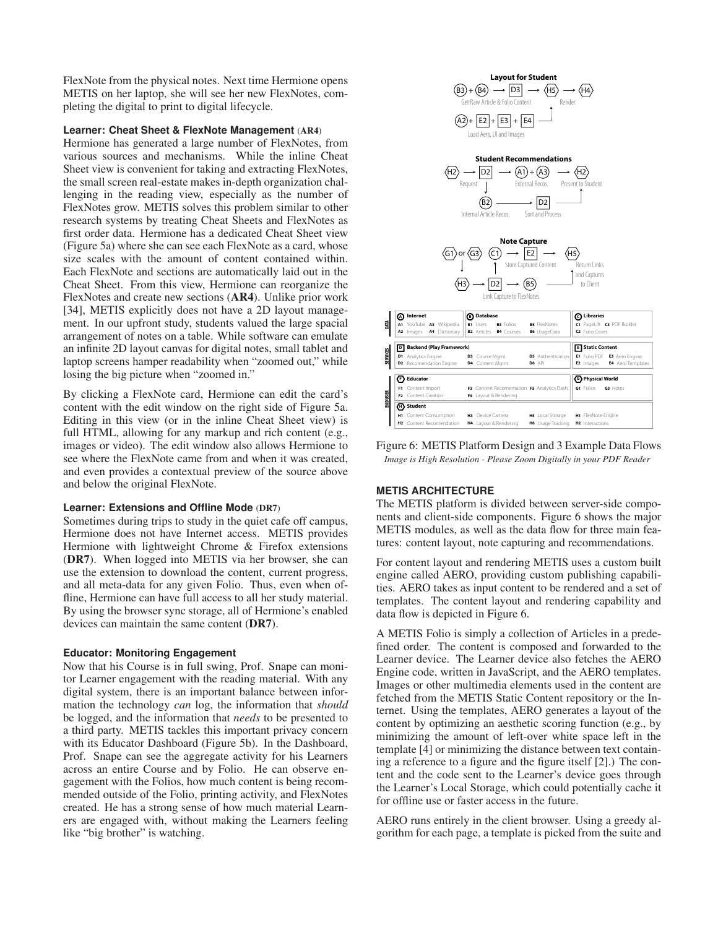FlexNote from the physical notes. Next time Hermione opens METIS on her laptop, she will see her new FlexNotes, completing the digital to print to digital lifecycle.

# **Learner: Cheat Sheet & FlexNote Management** (AR4)

Hermione has generated a large number of FlexNotes, from various sources and mechanisms. While the inline Cheat Sheet view is convenient for taking and extracting FlexNotes, the small screen real-estate makes in-depth organization challenging in the reading view, especially as the number of FlexNotes grow. METIS solves this problem similar to other research systems by treating Cheat Sheets and FlexNotes as first order data. Hermione has a dedicated Cheat Sheet view (Figure 5a) where she can see each FlexNote as a card, whose size scales with the amount of content contained within. Each FlexNote and sections are automatically laid out in the Cheat Sheet. From this view, Hermione can reorganize the FlexNotes and create new sections (AR4). Unlike prior work [34], METIS explicitly does not have a 2D layout management. In our upfront study, students valued the large spacial arrangement of notes on a table. While software can emulate an infinite 2D layout canvas for digital notes, small tablet and laptop screens hamper readability when "zoomed out," while losing the big picture when "zoomed in."

By clicking a FlexNote card, Hermione can edit the card's content with the edit window on the right side of Figure 5a. Editing in this view (or in the inline Cheat Sheet view) is full HTML, allowing for any markup and rich content (e.g., images or video). The edit window also allows Hermione to see where the FlexNote came from and when it was created, and even provides a contextual preview of the source above and below the original FlexNote.

## **Learner: Extensions and Offline Mode** (DR7)

Sometimes during trips to study in the quiet cafe off campus, Hermione does not have Internet access. METIS provides Hermione with lightweight Chrome & Firefox extensions (DR7). When logged into METIS via her browser, she can use the extension to download the content, current progress, and all meta-data for any given Folio. Thus, even when offline, Hermione can have full access to all her study material. By using the browser sync storage, all of Hermione's enabled devices can maintain the same content (DR7).

## **Educator: Monitoring Engagement**

Now that his Course is in full swing, Prof. Snape can monitor Learner engagement with the reading material. With any digital system, there is an important balance between information the technology *can* log, the information that *should* be logged, and the information that *needs* to be presented to a third party. METIS tackles this important privacy concern with its Educator Dashboard (Figure 5b). In the Dashboard, Prof. Snape can see the aggregate activity for his Learners across an entire Course and by Folio. He can observe engagement with the Folios, how much content is being recommended outside of the Folio, printing activity, and FlexNotes created. He has a strong sense of how much material Learners are engaged with, without making the Learners feeling like "big brother" is watching.



Figure 6: METIS Platform Design and 3 Example Data Flows *Image is High Resolution - Please Zoom Digitally in your PDF Reader*

# **METIS ARCHITECTURE**

The METIS platform is divided between server-side components and client-side components. Figure 6 shows the major METIS modules, as well as the data flow for three main features: content layout, note capturing and recommendations.

For content layout and rendering METIS uses a custom built engine called AERO, providing custom publishing capabilities. AERO takes as input content to be rendered and a set of templates. The content layout and rendering capability and data flow is depicted in Figure 6.

A METIS Folio is simply a collection of Articles in a predefined order. The content is composed and forwarded to the Learner device. The Learner device also fetches the AERO Engine code, written in JavaScript, and the AERO templates. Images or other multimedia elements used in the content are fetched from the METIS Static Content repository or the Internet. Using the templates, AERO generates a layout of the content by optimizing an aesthetic scoring function (e.g., by minimizing the amount of left-over white space left in the template [4] or minimizing the distance between text containing a reference to a figure and the figure itself [2].) The content and the code sent to the Learner's device goes through the Learner's Local Storage, which could potentially cache it for offline use or faster access in the future.

AERO runs entirely in the client browser. Using a greedy algorithm for each page, a template is picked from the suite and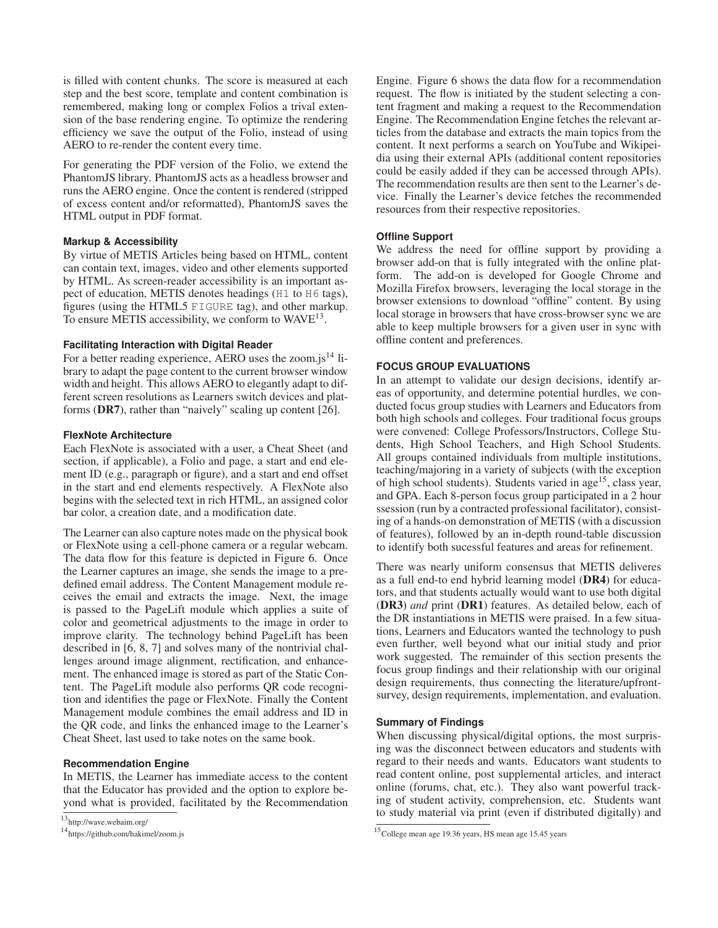is filled with content chunks. The score is measured at each step and the best score, template and content combination is remembered, making long or complex Folios a trival extension of the base rendering engine. To optimize the rendering efficiency we save the output of the Folio, instead of using AERO to re-render the content every time.

For generating the PDF version of the Folio, we extend the PhantomJS library. PhantomJS acts as a headless browser and runs the AERO engine. Once the content is rendered (stripped of excess content and/or reformatted), PhantomJS saves the HTML output in PDF format.

# **Markup & Accessibility**

By virtue of METIS Articles being based on HTML, content can contain text, images, video and other elements supported by HTML. As screen-reader accessibility is an important aspect of education, METIS denotes headings (H1 to H6 tags), figures (using the HTML5 FIGURE tag), and other markup. To ensure METIS accessibility, we conform to WAVE<sup>13</sup>.

# **Facilitating Interaction with Digital Reader**

For a better reading experience, AERO uses the zoom.js<sup>14</sup> library to adapt the page content to the current browser window width and height. This allows AERO to elegantly adapt to different screen resolutions as Learners switch devices and platforms (DR7), rather than "naively" scaling up content [26].

# **FlexNote Architecture**

Each FlexNote is associated with a user, a Cheat Sheet (and section, if applicable), a Folio and page, a start and end element ID (e.g., paragraph or figure), and a start and end offset in the start and end elements respectively. A FlexNote also begins with the selected text in rich HTML, an assigned color bar color, a creation date, and a modification date.

The Learner can also capture notes made on the physical book or FlexNote using a cell-phone camera or a regular webcam. The data flow for this feature is depicted in Figure 6. Once the Learner captures an image, she sends the image to a predefined email address. The Content Management module receives the email and extracts the image. Next, the image is passed to the PageLift module which applies a suite of color and geometrical adjustments to the image in order to improve clarity. The technology behind PageLift has been described in [6, 8, 7] and solves many of the nontrivial challenges around image alignment, rectification, and enhancement. The enhanced image is stored as part of the Static Content. The PageLift module also performs QR code recognition and identifies the page or FlexNote. Finally the Content Management module combines the email address and ID in the QR code, and links the enhanced image to the Learner's Cheat Sheet, last used to take notes on the same book.

# **Recommendation Engine**

In METIS, the Learner has immediate access to the content that the Educator has provided and the option to explore beyond what is provided, facilitated by the Recommendation Engine. Figure 6 shows the data flow for a recommendation request. The flow is initiated by the student selecting a content fragment and making a request to the Recommendation Engine. The Recommendation Engine fetches the relevant articles from the database and extracts the main topics from the content. It next performs a search on YouTube and Wikipeidia using their external APIs (additional content repositories could be easily added if they can be accessed through APIs). The recommendation results are then sent to the Learner's device. Finally the Learner's device fetches the recommended resources from their respective repositories.

# **Offline Support**

We address the need for offline support by providing a browser add-on that is fully integrated with the online platform. The add-on is developed for Google Chrome and Mozilla Firefox browsers, leveraging the local storage in the browser extensions to download "offline" content. By using local storage in browsers that have cross-browser sync we are able to keep multiple browsers for a given user in sync with offline content and preferences.

# **FOCUS GROUP EVALUATIONS**

In an attempt to validate our design decisions, identify areas of opportunity, and determine potential hurdles, we conducted focus group studies with Learners and Educators from both high schools and colleges. Four traditional focus groups were convened: College Professors/Instructors, College Students, High School Teachers, and High School Students. All groups contained individuals from multiple institutions, teaching/majoring in a variety of subjects (with the exception of high school students). Students varied in age<sup>15</sup>, class year, and GPA. Each 8-person focus group participated in a 2 hour ssession (run by a contracted professional facilitator), consisting of a hands-on demonstration of METIS (with a discussion of features), followed by an in-depth round-table discussion to identify both sucessful features and areas for refinement.

There was nearly uniform consensus that METIS deliveres as a full end-to end hybrid learning model (DR4) for educators, and that students actually would want to use both digital (DR3) *and* print (DR1) features. As detailed below, each of the DR instantiations in METIS were praised. In a few situations, Learners and Educators wanted the technology to push even further, well beyond what our initial study and prior work suggested. The remainder of this section presents the focus group findings and their relationship with our original design requirements, thus connecting the literature/upfrontsurvey, design requirements, implementation, and evaluation.

# **Summary of Findings**

When discussing physical/digital options, the most surprising was the disconnect between educators and students with regard to their needs and wants. Educators want students to read content online, post supplemental articles, and interact online (forums, chat, etc.). They also want powerful tracking of student activity, comprehension, etc. Students want to study material via print (even if distributed digitally) and

<sup>13</sup>http://wave.webaim.org/

<sup>14</sup>https://github.com/hakimel/zoom.js

<sup>&</sup>lt;sup>15</sup>College mean age 19.36 years, HS mean age 15.45 years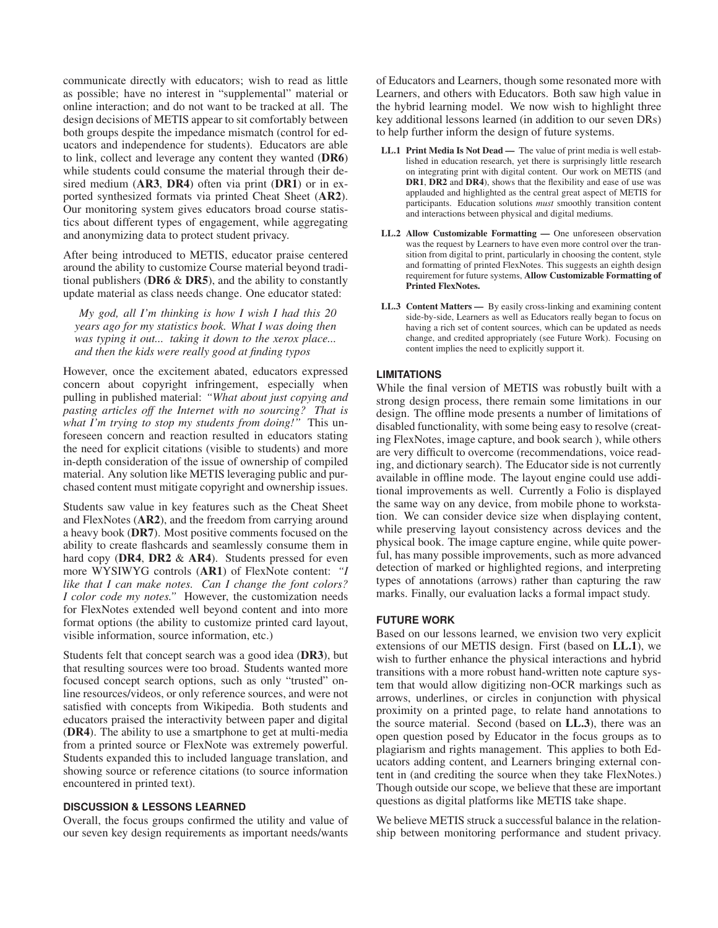communicate directly with educators; wish to read as little as possible; have no interest in "supplemental" material or online interaction; and do not want to be tracked at all. The design decisions of METIS appear to sit comfortably between both groups despite the impedance mismatch (control for educators and independence for students). Educators are able to link, collect and leverage any content they wanted (DR6) while students could consume the material through their desired medium (AR3, DR4) often via print (DR1) or in exported synthesized formats via printed Cheat Sheet (AR2). Our monitoring system gives educators broad course statistics about different types of engagement, while aggregating and anonymizing data to protect student privacy.

After being introduced to METIS, educator praise centered around the ability to customize Course material beyond traditional publishers (DR6  $\&$  DR5), and the ability to constantly update material as class needs change. One educator stated:

*My god, all I'm thinking is how I wish I had this 20 years ago for my statistics book. What I was doing then was typing it out... taking it down to the xerox place... and then the kids were really good at finding typos*

However, once the excitement abated, educators expressed concern about copyright infringement, especially when pulling in published material: *"What about just copying and pasting articles off the Internet with no sourcing? That is what I'm trying to stop my students from doing!"* This unforeseen concern and reaction resulted in educators stating the need for explicit citations (visible to students) and more in-depth consideration of the issue of ownership of compiled material. Any solution like METIS leveraging public and purchased content must mitigate copyright and ownership issues.

Students saw value in key features such as the Cheat Sheet and FlexNotes (AR2), and the freedom from carrying around a heavy book (DR7). Most positive comments focused on the ability to create flashcards and seamlessly consume them in hard copy (DR4, DR2  $\&$  AR4). Students pressed for even more WYSIWYG controls (AR1) of FlexNote content: *"I like that I can make notes. Can I change the font colors? I color code my notes."* However, the customization needs for FlexNotes extended well beyond content and into more format options (the ability to customize printed card layout, visible information, source information, etc.)

Students felt that concept search was a good idea (DR3), but that resulting sources were too broad. Students wanted more focused concept search options, such as only "trusted" online resources/videos, or only reference sources, and were not satisfied with concepts from Wikipedia. Both students and educators praised the interactivity between paper and digital (DR4). The ability to use a smartphone to get at multi-media from a printed source or FlexNote was extremely powerful. Students expanded this to included language translation, and showing source or reference citations (to source information encountered in printed text).

# **DISCUSSION & LESSONS LEARNED**

Overall, the focus groups confirmed the utility and value of our seven key design requirements as important needs/wants

of Educators and Learners, though some resonated more with Learners, and others with Educators. Both saw high value in the hybrid learning model. We now wish to highlight three key additional lessons learned (in addition to our seven DRs) to help further inform the design of future systems.

- LL.1 Print Media Is Not Dead The value of print media is well established in education research, yet there is surprisingly little research on integrating print with digital content. Our work on METIS (and DR1, DR2 and DR4), shows that the flexibility and ease of use was applauded and highlighted as the central great aspect of METIS for participants. Education solutions *must* smoothly transition content and interactions between physical and digital mediums.
- LL.2 Allow Customizable Formatting One unforeseen observation was the request by Learners to have even more control over the transition from digital to print, particularly in choosing the content, style and formatting of printed FlexNotes. This suggests an eighth design requirement for future systems, Allow Customizable Formatting of Printed FlexNotes.
- LL.3 Content Matters By easily cross-linking and examining content side-by-side, Learners as well as Educators really began to focus on having a rich set of content sources, which can be updated as needs change, and credited appropriately (see Future Work). Focusing on content implies the need to explicitly support it.

## **LIMITATIONS**

While the final version of METIS was robustly built with a strong design process, there remain some limitations in our design. The offline mode presents a number of limitations of disabled functionality, with some being easy to resolve (creating FlexNotes, image capture, and book search ), while others are very difficult to overcome (recommendations, voice reading, and dictionary search). The Educator side is not currently available in offline mode. The layout engine could use additional improvements as well. Currently a Folio is displayed the same way on any device, from mobile phone to workstation. We can consider device size when displaying content, while preserving layout consistency across devices and the physical book. The image capture engine, while quite powerful, has many possible improvements, such as more advanced detection of marked or highlighted regions, and interpreting types of annotations (arrows) rather than capturing the raw marks. Finally, our evaluation lacks a formal impact study.

#### **FUTURE WORK**

Based on our lessons learned, we envision two very explicit extensions of our METIS design. First (based on LL.1), we wish to further enhance the physical interactions and hybrid transitions with a more robust hand-written note capture system that would allow digitizing non-OCR markings such as arrows, underlines, or circles in conjunction with physical proximity on a printed page, to relate hand annotations to the source material. Second (based on LL.3), there was an open question posed by Educator in the focus groups as to plagiarism and rights management. This applies to both Educators adding content, and Learners bringing external content in (and crediting the source when they take FlexNotes.) Though outside our scope, we believe that these are important questions as digital platforms like METIS take shape.

We believe METIS struck a successful balance in the relationship between monitoring performance and student privacy.